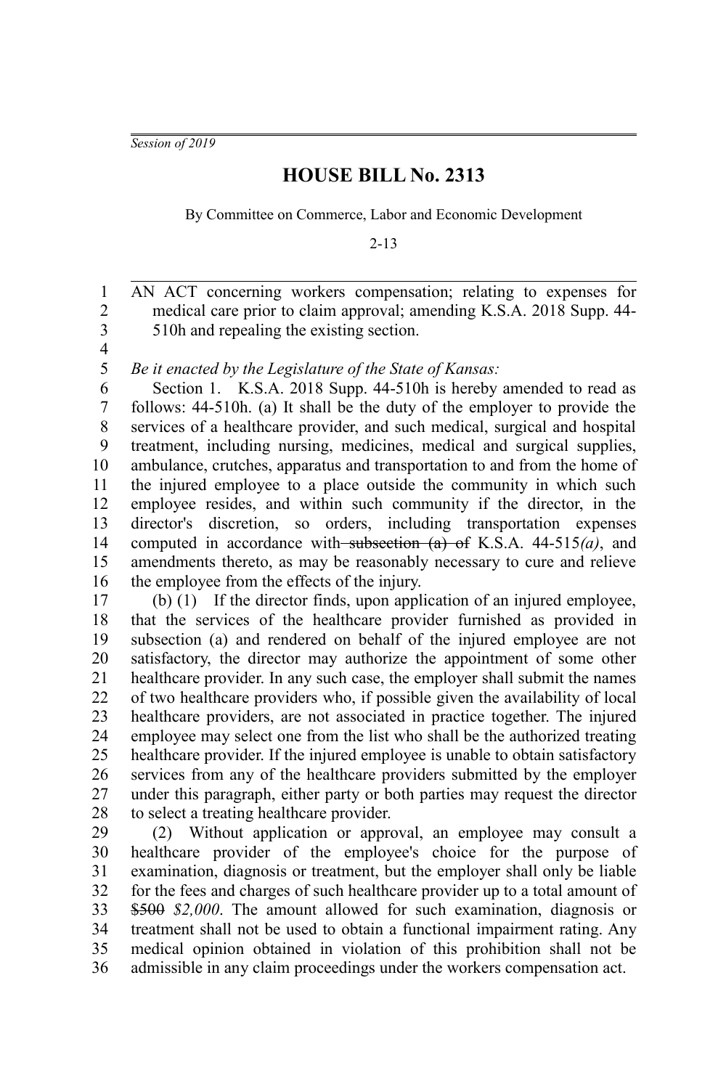*Session of 2019*

## **HOUSE BILL No. 2313**

By Committee on Commerce, Labor and Economic Development

2-13

AN ACT concerning workers compensation; relating to expenses for medical care prior to claim approval; amending K.S.A. 2018 Supp. 44- 510h and repealing the existing section. 1 2 3

4 5

*Be it enacted by the Legislature of the State of Kansas:*

Section 1. K.S.A. 2018 Supp. 44-510h is hereby amended to read as follows: 44-510h. (a) It shall be the duty of the employer to provide the services of a healthcare provider, and such medical, surgical and hospital treatment, including nursing, medicines, medical and surgical supplies, ambulance, crutches, apparatus and transportation to and from the home of the injured employee to a place outside the community in which such employee resides, and within such community if the director, in the director's discretion, so orders, including transportation expenses computed in accordance with subsection (a) of K.S.A. 44-515*(a)*, and amendments thereto, as may be reasonably necessary to cure and relieve the employee from the effects of the injury. 6 7 8 9 10 11 12 13 14 15 16

(b) (1) If the director finds, upon application of an injured employee, that the services of the healthcare provider furnished as provided in subsection (a) and rendered on behalf of the injured employee are not satisfactory, the director may authorize the appointment of some other healthcare provider. In any such case, the employer shall submit the names of two healthcare providers who, if possible given the availability of local healthcare providers, are not associated in practice together. The injured employee may select one from the list who shall be the authorized treating healthcare provider. If the injured employee is unable to obtain satisfactory services from any of the healthcare providers submitted by the employer under this paragraph, either party or both parties may request the director to select a treating healthcare provider. 17 18 19 20 21 22 23 24 25 26 27 28

(2) Without application or approval, an employee may consult a healthcare provider of the employee's choice for the purpose of examination, diagnosis or treatment, but the employer shall only be liable for the fees and charges of such healthcare provider up to a total amount of \$500 *\$2,000*. The amount allowed for such examination, diagnosis or treatment shall not be used to obtain a functional impairment rating. Any medical opinion obtained in violation of this prohibition shall not be admissible in any claim proceedings under the workers compensation act. 29 30 31 32 33 34 35 36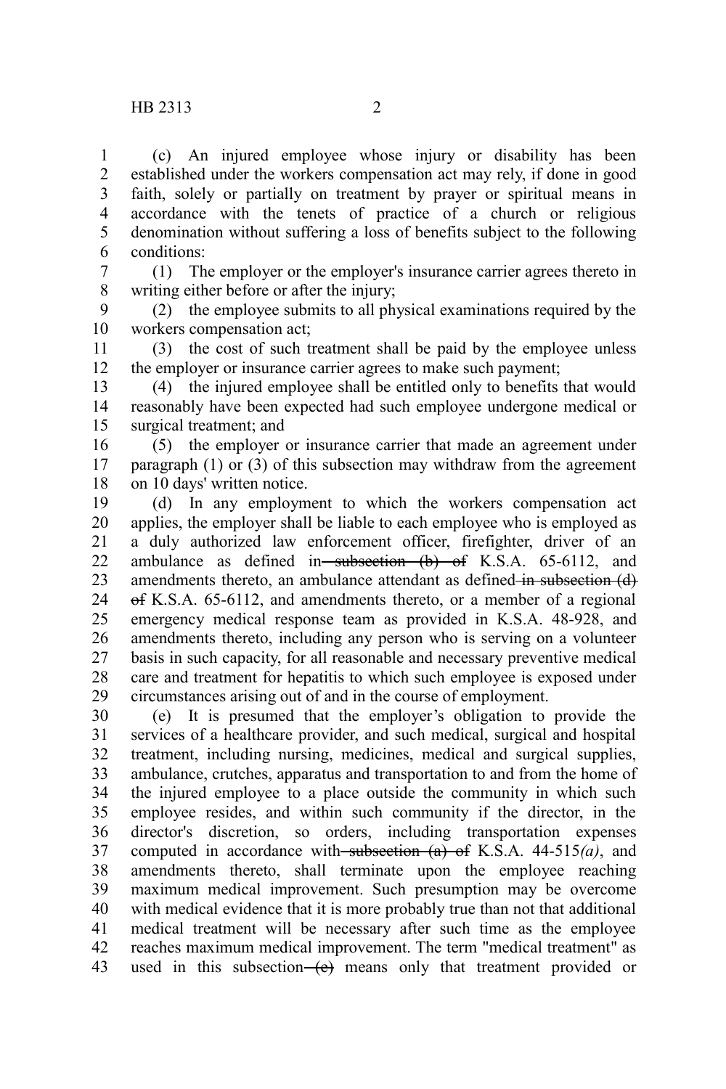(c) An injured employee whose injury or disability has been established under the workers compensation act may rely, if done in good faith, solely or partially on treatment by prayer or spiritual means in accordance with the tenets of practice of a church or religious denomination without suffering a loss of benefits subject to the following conditions: 1 2 3 4 5 6

(1) The employer or the employer's insurance carrier agrees thereto in writing either before or after the injury; 7 8

(2) the employee submits to all physical examinations required by the workers compensation act; 9 10

(3) the cost of such treatment shall be paid by the employee unless the employer or insurance carrier agrees to make such payment; 11 12

(4) the injured employee shall be entitled only to benefits that would reasonably have been expected had such employee undergone medical or surgical treatment; and 13 14 15

(5) the employer or insurance carrier that made an agreement under paragraph (1) or (3) of this subsection may withdraw from the agreement on 10 days' written notice. 16 17 18

(d) In any employment to which the workers compensation act applies, the employer shall be liable to each employee who is employed as a duly authorized law enforcement officer, firefighter, driver of an ambulance as defined in subsection  $(b)$  of K.S.A. 65-6112, and amendments thereto, an ambulance attendant as defined in subsection (d) of K.S.A. 65-6112, and amendments thereto, or a member of a regional emergency medical response team as provided in K.S.A. 48-928, and amendments thereto, including any person who is serving on a volunteer basis in such capacity, for all reasonable and necessary preventive medical care and treatment for hepatitis to which such employee is exposed under circumstances arising out of and in the course of employment. 19 20 21 22 23 24 25 26 27 28 29

(e) It is presumed that the employer's obligation to provide the services of a healthcare provider, and such medical, surgical and hospital treatment, including nursing, medicines, medical and surgical supplies, ambulance, crutches, apparatus and transportation to and from the home of the injured employee to a place outside the community in which such employee resides, and within such community if the director, in the director's discretion, so orders, including transportation expenses computed in accordance with subsection (a) of K.S.A. 44-515*(a)*, and amendments thereto, shall terminate upon the employee reaching maximum medical improvement. Such presumption may be overcome with medical evidence that it is more probably true than not that additional medical treatment will be necessary after such time as the employee reaches maximum medical improvement. The term "medical treatment" as used in this subsection $\left( e \right)$  means only that treatment provided or 30 31 32 33 34 35 36 37 38 39 40 41 42 43